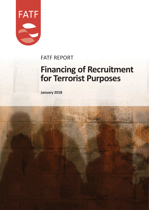

# FATF REPORT

# **Financing of Recruitment for Terrorist Purposes**

**January 2018**

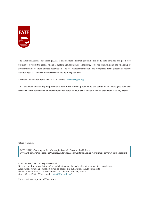

The Financial Action Task Force (FATF) is an independent inter-governmental body that develops and promotes policies to protect the global financial system against money laundering, terrorist financing and the financing of proliferation of weapons of mass destruction. The FATF Recommendations are recognised as the global anti-money laundering (AML) and counter-terrorist financing (CFT) standard.

For more information about the FATF, please visit **www.fatf-gafi.org**

This document and/or any map included herein are without prejudice to the status of or sovereignty over any territory, to the delimitation of international frontiers and boundaries and to the name of any territory, city or area.

Citing reference:

FATF (2018), *Financing of Recruitment for Terrorist Purposes,* FATF, Paris www.fatf-gafi.org/publications/methodsandtrends/documents/financing-recruitment-terrorist-purposes.html

© 2018 FATF/OECD. All rights reserved.

No reproduction or translation of this publication may be made without prior written permission. Applications for such permission, for all or part of this publication, should be made to the FATF Secretariat, 2 rue André Pascal 75775 Paris Cedex 16, France (fax: +33 1 44 30 61 37 or e-mail: contact@fatf-gafi.org).

Photocredits coverphoto: ©Thinkstock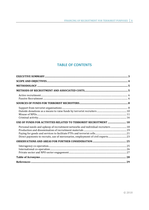# **TABLE OF CONTENTS**

| USE OF FUNDS FOR ACTIVITIES RELATED TO TERRORIST RECRUITMENT  18                                                                                                  |  |
|-------------------------------------------------------------------------------------------------------------------------------------------------------------------|--|
| Personal needs and upkeep of recruitment networks and individual recruiters  18<br>Direct payments to recruits, use of mercenaries, employment of civil experts23 |  |
|                                                                                                                                                                   |  |
|                                                                                                                                                                   |  |
|                                                                                                                                                                   |  |
|                                                                                                                                                                   |  |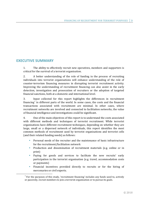# **EXECUTIVE SUMMARY**

1. The ability to effectively recruit new operatives, members and supporters is critical for the survival of a terrorist organisation.

2. A better understanding of the role of funding in the process of recruiting individuals into terrorist organisations will enhance understanding of the role of counter-terrorism financing measures in disrupting terrorist recruitment activity. Improving the understanding of recruitment financing can also assist in the early detection, investigation and prosecution of recruiters or the adoption of targeted financial sanctions, both at a domestic and international level.

3. Input collected for this report highlights the differences in recruitment financing<sup>1</sup> in different parts of the world. In some cases, the costs and the financial transactions associated with recruitment are minimal. In other cases, where recruitment networks are involved and connected to facilitation networks, the value of financial intelligence and investigations could be significant.

4. One of the main objectives of this report is to understand the costs associated with different methods and techniques of terrorist recruitment. While terrorist organisations have different recruitment techniques, depending on whether they are large, small or a dispersed network of individuals, this report identifies the most common methods of recruitment used by terrorist organisations and terrorist cells (and their related funding needs) as follows:

- **Personal needs of the recruiter and the maintenance of basic infrastructure** for the recruitment/facilitation network
- **•** Production and dissemination of recruitment materials (e.g. online or in print)
- Paying for goods and services to facilitate the new recruits' early participation in the terrorist organisation (e.g. travel, accommodation costs or payments)
- Financial incentives provided directly to recruits or for the hiring of mercenaries or civil experts.

 $1$  For the purposes of this study, 'recruitment financing' includes any funds used to, actively or passively, recruit members to join a terrorist organisation or to pursue its goals.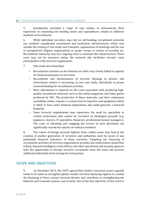#### **4 │** FINANCING OF RECRUITMENT FOR TERRORIST PURPOSES

5. Jurisdictions provided a range of case studies to demonstrate their experience in examining the funding needs and expenditures related to different methods of recruitment.

6. While individual recruiters may rely on self-funding, recruitment networks can establish complicated recruitment and facilitation infrastructures which may include the renting of real estate and transport, organisation of meetings and the use of unregistered religious organisations or prayer rooms or centres of worship, etc. Recruitment networks may face ongoing costs to maintain this infrastructure. These costs may not be extensive unless the network also facilitates recruits' early participation in the terrorist organisation.

- 7. This study also found that:
	- Recruitment activities on the Internet are often very closely linked to appeals for financial assistance to terrorists.
	- Recruitment and dissemination of terrorist ideology in prisons and correctional centres is increasing. In one case study, individuals in prison received funding for recruitment activities.
	- More information is required on the costs associated with producing highquality recruitment materials such as the online magazines and video games produced by ISIL. The production of these materials, and their continuous availability online, requires a certain level of expertise and equipment which is likely to have some financial implications and could generate a financial footprint.
	- Some terrorist organisations may experience the need for specialists in civilian professions who cannot be recruited on ideological grounds (e.g. engineers, doctors, IT specialists, financiers, professional money managers.). The costs of obtaining and engaging the service of such specialists can significantly exceed the salaries of ordinary members.

8. The return of foreign terrorist fighters from conflict zones may lead to the creation of another generation of recruiters and authorities must be aware of any potentially financial indicators of these activities. Targeting the financing of recruitment activities of terrorist organisations provides law enforcement authorities (LEAs), financial intelligence units (FIUs), and other operational and security agencies with the opportunity to disrupt terrorist recruitment from the onset and prevent additional individuals from joining terrorist groups.

# **SCOPE AND OBJECTIVES**

9. In December 2015, the FATF agreed that further concerted action urgently needs to be taken to strengthen global counter-terrorist financing regimes to combat the financing of these serious terrorist threats, and contribute to strengthening the financial and economic system, and security. One of the key objectives of this work is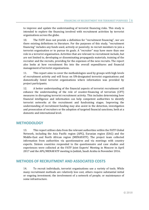to improve and update the understanding of terrorist financing risks. This study is intended to explore the financing involved with recruitment activities by terrorist organisations across the globe.

10. The FATF does not provide a definition for "recruitment financing", nor are there existing definitions in literature. For the purposes of this study, "recruitment financing" includes any funds used, actively or passively, to recruit members to join a terrorist organisation or to pursue its goals. A "recruiter" may have more than one role in a terrorist organisation. Activities that are relevant to recruitment include, but are not limited to, developing or disseminating propaganda materials, training of the recruiter and the recruits, providing for the expenses of the new recruits. The report also looks at how recruitment fits into the overall expenditures and financial management of terrorist organisations.

11. This report aims to cover the methodologies used by groups with high levels of recruitment activity and will focus on UN-designated terrorist organisations and domestically listed terrorist organisations where information was provided by project participants.

12. A better understanding of the financial aspects of terrorist recruitment will enhance the understanding of the role of counter-financing of terrorism (CFT) measures in disrupting terrorist recruitment activity. This includes determining how financial intelligence and information can help competent authorities to identify terrorist networks at the recruitment and fundraising stages. Improving the understanding of recruitment funding may also assist in the detection, investigation and prosecution of recruiters or the adoption of targeted financial sanctions, both at a domestic and international level.

### **METHODOLOGY**

13. This report utilises data from the relevant authorities within the FATF Global Network, including the Asia Pacific region (APG), Eurasian region (EAG) and the Middle-East and North African region (MENAFATF). The project team collected information from authorities via questionnaires and via meetings with country experts. Sixteen countries responded to the questionnaire and case studies and experiences were collected at the FATF Joint Experts' Meeting in Moscow in April 2017 and the APG/MENAFATF meeting in Jeddah, Saudi Arabia in November 2016.

# **METHODS OF RECRUITMENT AND ASSOCIATED COSTS**

14. To recruit individuals, terrorist organisations use a variety of tools. While many recruitment methods are relatively low cost, others require substantial initial or ongoing investment; the involvement of a network of people; or maintenance of some infrastructure.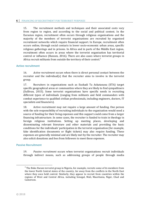#### **6 │** FINANCING OF RECRUITMENT FOR TERRORIST PURPOSES

15. The recruitment methods and techniques and their associated costs vary from region to region, and according to the social and political context. In the Eurasian region, recruitment often occurs through religious organisations and the majority of the members of terrorist organisations are recruited by organised recruitment networks which require financial support. In Europe, recruitment often occurs online, through social contacts in lower socio-economic urban areas, specific religious gatherings and in prisons. In Africa and in parts of the Middle East region, recruitment often occurs in areas where the terrorist organisation has territorial control or influence (Hansen, 2016). There are also cases where terrorist groups in Africa recruit militants from outside the territory of their control. $2^2$ 

#### **Active recruitment**

16. *Active recruitment* occurs when there is direct personal contact between the recruiter and the individual(s) that the recruiter aims to involve in the terrorist group.

17. Recruiters in organisations such as Euskadi Ta Askatasuna (ETA) target specific geographical areas or communities where they are likely to find sympathisers (Sullivan, 2015). Some terrorist organisations have specific needs in recruiting different types of individuals (ranging from militants and field commanders with combat experience to qualified civilian professionals, including engineers, doctors, IT specialists and financiers).

18. Active recruitment may not require a large amount of funding. One person with the sole responsibility of recruiting individuals to the organisation would need a source of funding for their living expenses and this support could come from a larger financing infrastructure. In some cases, the recruiter is funded to train in theology in foreign religious institutions. Setting up meeting places, developing and disseminating relevant literature and other materials and providing the basic conditions for the individuals' participation in the terrorist organisation (for example, fake identification documents or flight tickets) may also require funding. These expenses are generally minimal and are likely met by the recruiter. The recruiter may also solicit donations and fees from followers to meet these expenses.

#### **Passive Recruitment**

19. *Passive recruitment* occurs when terrorist organisations recruit individuals through indirect means, such as addressing groups of people through media

 $2^2$  The Boko Haram terrorist group in Nigeria, for example, recruits some of its members from the lower North Central states of the country, far away from the conflicts in the North East where they once held control. Similarly, they appear to recruit from countries within the regions of West and Central Africa, including Senegal, Mali, Mauritania, Niger, Chad and Cameroon.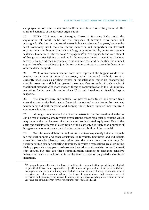campaigns and recruitment materials with the intention of recruiting them into the aims and activities of the terrorist organisation.

20. FATF's 2015 report on Emerging Terrorist Financing Risks noted the exploitation of social media for the purposes of terrorist recruitment and propaganda. The Internet and social networks have, in the past five years, become the most commonly used tools to recruit members and supporters for terrorist organisations and disseminate their ideology, or in other words, online recruitment materials (sometimes referred to as "propaganda" $3$ ). This applies to the recruitment of foreign terrorist fighters as well as for home-grown terrorist activities. It allows terrorists to spread their ideology at relatively low-cost and to identify like-minded supporters who are willing to join the terrorist organisation or provide financial or other material support.

21. While online communication tools now represent the biggest window for passive recruitment of potential terrorists, other traditional methods are also currently used such as printing leaflets or indoctrination materials, broadcasting specific programs and holding general meetings. One example of such a mix of traditional methods with more modern forms of communication is the ISIL-monthly magazine, Dabiq, available online since 2014 and based on Al Qaeda's Inspire magazine.

22. The infrastructure and material for passive recruitment has certain fixed costs that can require both regular financial support and expenditures. For instance, maintaining a digital magazine and keeping the IT teams updated may require a continuous funding stream.

23. Although the access and use of social networks and the creation of websites can be free of charge, some terrorist organisations create high-quality content, which may require the involvement of expertise and sophisticated equipment. Due to the scale and variety of forms of distribution of this content, it is likely that a number of bloggers and moderators are participating in the distribution of the material.

24. Recruitment activities on the Internet are often very closely linked to appeals for material support and other assistance to terrorists. Recruiters and individuals spreading terrorist ideology very often use the same resources not only for recruitment but also for collecting donations. Terrorist organisations are distributing their propaganda using password-protected websites and restricted access Internet chat groups, but also use these communication channels to exchange sensitive information such as bank accounts or the true purpose of purportedly charitable donations.

 $3$  Propaganda generally takes the form of multimedia communications providing ideological or practical instruction, explanations, justifications or promotion of terrorist activities. Propaganda via the Internet may also include the use of video footage of violent acts of terrorism or video games developed by terrorist organisations that simulate acts of terrorism and encourage the viewer to engage in role-play, by acting as a virtual terrorist. See "The use of the Internet for terrorist purposes" (UNODC, 2012).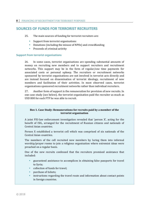# **SOURCES OF FUNDS FOR TERRORIST RECRUITERS**

25. The main sources of funding for terrorist recruiters are:

- **Support from terrorist organisations**
- **•** Donations (including the misuse of NPOs) and crowdfunding
- Proceeds of criminal activity

#### **Support from terrorist organisations**

26. In some cases, terrorist organisations are spending substantial amounts of money on recruiting new members and to support recruiters and recruitment networks. This support may be in the form of regular/one time payments for associated costs or personal upkeep. The recruiters or recruitment networks sponsored by terrorist organisations are not involved in terrorist acts directly and are instead focused on dissemination of terrorist ideology, recruitment of new members and facilitation of their activities. In most observed cases, terrorist organisations sponsored recruitment networks rather than individual recruiters.

27. Another form of support is the remuneration for provision of new recruits. In one case study (see below), the terrorist organisation paid the recruiter as much as USD 800 for each FTF he was able to recruit.

#### **Box 1. Case Study: Remunerations for recruits paid by a member of the terrorist organisation**

A joint FIU-law enforcement investigation revealed that 'person X', acting for the benefit of ISIL, arranged for the recruitment of Russian citizens and nationals of Central Asian countries.

Person X established a terrorist cell which was comprised of six nationals of the Central Asian countries.

The members of the cell recruited new members by luring them into informal worship/prayer rooms to join a religious organisation where extremist ideas were preached on a regular basis.

One of the new recruits confessed that the recruiters promised assistance that included:

- guaranteed assistance to accomplices in obtaining false passports for travel to Syria;
- collection of funds for travel;
- purchase of tickets;
- instructions regarding the travel route and information about contact points in foreign countries.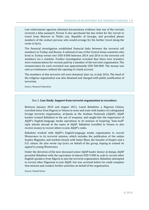Law enforcement agencies obtained documentary evidence that one of the recruits received a false passport. Person X also purchased the bus ticket for the recruit to travel from Moscow to Tbilisi city, Republic of Georgia, and provided phone numbers of the contact persons who would arrange for his further travel along the route to Syria.

The financial investigation established financial links between the terrorist cell members in Turkey and Russia. A national of one of the Central Asian countries who lived in Turkey wired over USD 8 000 between 2014 and 2016 to the terrorist cell members via a remitter. Further investigation revealed that these wire transfers were remunerations for recruits paid by a member of the terrorist organisation. The remuneration for each recruited was approximately USD 500-800. The money was sent as remittances without the opening of a bank account.

The members of this terrorist cell were detained, later on, in July 2016. The head of the religious organisation was also detained and charged with public justification of terrorism.

Source: Russian Federation

#### Box 2. **Case Study: Support from terrorist organisation to recruiters**

Between January 2010 and August 2011, Lawal Babafemi, a Nigerian Citizen, travelled twice from Nigeria to Yemen to meet and train with leaders of a designated foreign terrorist organisation, al-Qaeda in the Arabian Peninsula (AQAP). AQAP leaders trained Babafemi in the use of weapons, and taught him the importance of AQAP's English-language media operations to its mission of inspiring "lone-wolf" style attacks abroad in the name of AQAP. Babafemi travelled to Yemen to also receive money to recruit others to join AQAP's ranks.

Babafemi worked with AQAP's English-language media organisation to recruit Westerners to its terrorist mission, which includes the publication of the online Inspire Magazine, and worked closely with Samir Khan, the founder of Inspire and a U.S. citizen. He also wrote rap lyrics on behalf of the group, hoping to extend its appeal to young Westerners.

Under the direction of the now-deceased senior AQAP leader Anwar al-Aulaqi, AQAP provided Babafemi with the equivalent of almost USD 9 000 in cash to recruit other English-speakers from Nigeria to join the terrorist organisation. Babafemi attempted to recruit other Nigerians to join AQAP, but was arrested before he could complete that mission and conduct further activities on behalf of the organisation.

Source: United States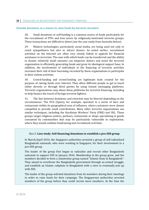#### **Outside donations as a means to raise funds by terrorist recruiters**

28. Small donations or self-funding is a common source of funds particularly for the recruitment of FTFs and lone actors by religiously-motivated terrorist groups. These transactions are difficult to detect (see the case study from Australia below).

29. Modern technologies, particularly social media, are being used not only to reach sympathisers but also to attract donors. As noted earlier, recruitment activities on the Internet are often very closely linked to appeals for financial assistance to terrorists. The ease with which funds can be transferred and the ability to donate relatively small amounts can empower donors and assist the terrorist organisation in efficiently generating funds and grow its ideological support base. In addition, the involvement of individuals in the financing of terrorist activities increases their risk of later becoming recruited by these organisations to participate in their violent activities.

30. Crowd-funding and crowd-lending are legitimate tools created for the purpose of raising funds over internet. They allow different people to get in touch either directly or through third parties by using instant messaging platforms. Terrorist organisations may abuse these platforms for terrorist financing, including to help finance the travel of foreign terrorist fighters.

31. The line between donations and extortion may be blurred depending on the circumstances. The ETA (Spain), for example, operated in a series of bars and restaurants within its geographical area of influence, where customers were almost compelled to provide small contributions. Many other terrorist organisations use similar techniques, including the Kurdistan Workers' Party (PKK) and ISIL. These groups target religious centres, parlours, restaurants or shops specialising in goods consumed by communities that may be particularly vulnerable to exploitation, where they would combine fundraising and recruitment activities.

#### Box 3. **Case study: Self-financing/donations to establish a pro-ISIS group**

In March/April 2016, the Singapore authorities arrested a group of self-radicalised Bangladeshi nationals, who were working in Singapore, for their involvement in a pro-ISIS group.

The leader of the group first began to radicalise and recruit other Bangladeshi nationals to support ISIS in January 2016. Membership in the group grew, and the members decided to form a clandestine group named "Islamic State in Bangladesh". They aimed to overthrow the Bangladeshi government through an armed struggle, and establish an Islamic caliphate in Bangladesh with a view to eventually join up with ISIS.

The leader of the group solicited donations from its members during their meetings in order to raise funds for their campaign. The Singaporean authorities arrested members of the group before they could recruit more members. At the time the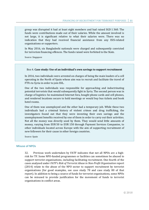group was disrupted it had at least eight members and had raised SGD 1 360. The funds were contributions made out of their salaries. While the amount involved is not large, it is significant relative to what their salaries were. There was no indication that they had received financial assistance from any ISIS-related organisations or supporters.

In May 2016, six Bangladeshi nationals were charged and subsequently convicted for terrorism financing offences. The funds raised were forfeited to the State.

Source: Singapore

#### Box 4. **Case study: Use of an individual's own savings to support recruitment**

In 2016, two individuals were arrested on charges of being the main leaders of a cell operating in the North of Spain whose aim was to recruit and facilitate the travel of FTFs to Syria in order to join ISIL.

One of the two individuals was responsible for approaching and indoctrinating potential terrorists that would subsequently fight in Syria. The second person was in charge of logistics: he maintained Internet fora, bought phone cards and cell phones, and rendered locations secure to hold meetings or would buy bus tickets and book hotel rooms.

One of them was unemployed and the other had a temporary job. While these two individuals had a criminal history of violent crimes and drug trafficking, the investigators found out that they were investing their own savings and the unemployment benefits received by one of them in order to carry out their activities. Not all the money was directly used by them. They would send little amounts of money, varying from EUR 50 to EUR 150 through Payment Services Companies, to other individuals located across Europe with the aim of supporting recruitment of new followers for their cause in other foreign countries.

Source: Spain

#### **Misuse of NPOs**

32. Previous work undertaken by FATF indicates that not all NPOs are a highrisk for TF. Some NPO-funded programmes or facilities can sometimes be abused to support terrorist organisations, including facilitating recruitment. One-fourth of the cases analysed under *FATF's Risk of Terrorist Abuse in Non-Profit Organisation* report (2014) relate to the abuse of the NPO sector to support recruitment by terrorist organisations (for good examples, see case study 78 and case study 80 of that report). In addition to being a source of funds for terrorist organisations, some NPOs can be misused to provide justification for the movement of funds to terrorist organisations in conflict areas.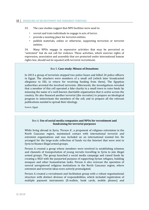#### 12 **| FINANCING OF RECRUITMENT FOR TERRORIST PURPOSES**

- 33. The case studies suggest that NPO facilities were used to:
	- recruit and train individuals to engage in acts of terror.
	- **PED FIGURE 2** provide a meeting place for terrorist entities.
	- publish materials, online or otherwise, supporting terrorism or terrorist entities.

34. Many NPOs engage in expressive activities that may be perceived as "extremist" but do not call for violence. These activities, which exercise rights of expression, association and assembly that are protected under international human rights law, should not be equated with terrorist recruitment.

#### Box 5. **Case study: Misuse of Donations**

In 2013 a group of terrorists stopped two police buses and killed 24 police officers in Egypt. The attackers were members of a small cell (which later broadcasted allegiance to ISIL in return for receiving funding from them). The Egyptian authorities arrested the involved terrorists. Afterwards, the investigations revealed that a member of this cell operated a fake charity in a small town to raise funds by misusing the name of a well-known charitable organisation that is active across the country. He also financed another terrorist (the recruiter) to prepare an ideological program to indoctrinate the members of the cell, and to prepare all the relevant publications needed to spread their ideology.

Source: Egypt

#### Box 6. **Use of social media companies and NPOs for recruitment and fundraising for terrorist purposes**

While living abroad in Syria, 'Person A', a proponent of religious extremism in the North Caucasus region, maintained contact with international terrorist and extremist organisations and was included on an international wanted list. He arranged for the large-scale collection of funds via the Internet that were sent to Syria to finance illegal armed groups.

Person A created a group whose members were involved in establishing schemes and channels of transportation of young recruits travelling to Syria to join illegal armed groups. The group launched a social media campaign and raised funds by creating a NGO with the purported purpose of supporting Syrian refugees, building mosques and other humanitarian tasks. Person A also oversaw the operation of several unregistered religious institutions in the North Caucasus region, where extremist and terrorist ideas were actively promulgated.

Person A created a recruitment and facilitation group with a robust organisational structure with distinct division of responsibilities, which included registration of multiple payment instruments (E-wallets, bank cards, mobile phones) and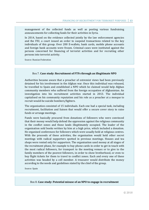management of the collected funds as well as posting various fundraising announcements for collecting funds for their activities in Syria.

In 2014, based on the evidence collected jointly by the law enforcement agencies and the FIU, a court issued an order to suspend transactions related to the key individuals of this group. Over 200 E-wallets, bank cards, mobile phone accounts and foreign bank accounts were frozen. Criminal cases were instituted against the persons concerned for financing of terrorist activities and for recruiting other persons into terrorist activity.

Source: Russian Federation

#### Box 7. **Case study: Recruitment of FTFs through an illegitimate NPO**

Authorities became aware that a preacher of extremist views had been previously detained for his involvement in the Afghan war. Once this individual was released, he travelled to Spain and established a NPO which he claimed would help Afghan community members who suffered from the foreign occupation of Afghanistan. An investigation into his recruitment activities started in 2013. The individual capitalised on his community reputation and his role as a preacher at a mosque to recruit would-be suicide bombers/fighters.

The organisation consisted of 15 individuals. Each one had a special task, including recruitment, facilitation and liaison that would offer a secure cover story to raise funds or arrange meetings.

Funds were basically procured from donations of followers who were convinced that their money would help defend the oppression against the religious community in the conflict zones and those lands illegitimately occupied. The leader of the organisation sold books written by him at a high price, which included a donation. He organised conferences for followers which were usually held at religious centres. With the proceeds of these activities, the organisation would hold other secret meetings with radical supporters spotted in previous meetings. Houses and tea shops were rented only for supporters. The organisation used money at all stages of the recruitment phase, for example to buy phone cards in order to get in touch with the most radical followers, for transport to the meeting venues or to give to the family members of the poorest followers, in order to show brotherhood, or even to buy flight tickets for them to travel to conflict zones. Each and every one of these activities was headed by a cell member. A treasurer would distribute the money according to the needs and guidelines stated by the chief of the group.

Source: Spain

Box 8. **Case study: Potential misuse of an NPO to engage in recruitment**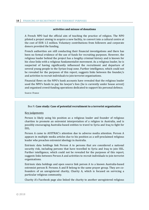#### **activities and misuse of donations**

A French NPO had the official aim of teaching the practice of religion. The NPO piloted a project aiming to acquire a new facility, to convert into a cultural centre at the cost of EUR 1.5 million. Voluntary contributions from followers and corporate donors provided the funding.

French authorities are still conducting their financial investigations and there has been no formal evidence of the use of funds for recruiting purposes. However, the religious leader behind the project has a lengthy criminal history and is known for his close links with a religious fundamentalist movement. As a religious leader, he is suspected of having significantly influenced the recruitment and departure of several young people to the Syrian-Iraqi zone. Further intelligence, which could not be revealed for the purposes of this report, suggests links between the founder/s and activities to recruit individuals to join terrorist organisations.

Financial flows on the NPO's bank accounts have revealed that the religious leader used the NPO's funds to pay his lawyer's fees (he is currently under house arrest) and organised crowd-funding operations dedicated to support his personal defence.

Source: France

#### Box 9. **Case study: Case of potential recruitment to a terrorist organisation**

#### Key judgements

Person is likely using his position as a religious leader and founder of religious charities to promote an extremist interpretation of a religion in Australia, and is possibly encouraging Australia-based entities to travel to Syria and Iraq to fight for ISIL.

Person A came to AUSTRAC's attention due to adverse media attention. Person A appears in multiple media articles due to his position as a self-proclaimed religious leader who preaches extremist ideology in Australia.

Extrinsic data holdings link Person A to persons that are considered a national security risk, including persons that have travelled to Syria and Iraq to join ISIL. Further intelligence, which could not be revealed for the purposes of this report, suggests links between Person A and activities to recruit individuals to join terrorist organisations.

Extrinsic data holdings and open source link person A to a known Australia-based extremist person B. Persons A and B belong to the same prayer group. They are cofounders of an unregistered charity, Charity A, which is focused on servicing a particular religious community.

Charity A's Facebook page also linked the charity to another unregistered religious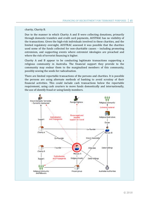charity, Charity B.

Due to the manner in which Charity A and B were collecting donations, primarily through domestic transfers and credit card payments, AUSTRAC has no visibility of the transactions. Given the high-risk individuals involved in these charities, and the limited regulatory oversight, AUSTRAC assessed it was possible that the charities used some of the funds collected for non-charitable causes – including promoting extremism, and supporting events where extremist ideologies are preached and where the risk of terrorist financing is higher.

Charity A and B appear to be conducting legitimate transactions supporting a religious community in Australia. The financial support they provide to the community may endear them to the marginalised members of this community, possibly sowing the seeds for radicalisation.

There are limited reportable transactions of the persons and charities. It is possible the persons are using alternate methods of banking to avoid scrutiny of their financial activities. This could include cash transactions below the reportable requirement, using cash couriers to move funds domestically and internationally, the use of identify fraud or using family members.

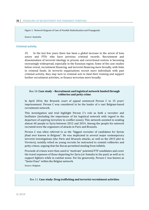Figure 1: Network Diagram of Case of Possible Radicalisation and Propaganda

Source: Australia

#### **Criminal activity**

35. In the last few years there has been a global increase in the arrest of lone actors and FTFs who have previous criminal records. Recruitment and dissemination of terrorist ideology in prisons and correctional centres is becoming increasingly widespread, especially in the Eurasian region. Some of the case studies below reveal, recruitment financing, and terrorist financing more broadly, with links to criminal funds. As terrorist organisations recruit more individuals with past criminal activity, they may turn to criminal acts to fund their training and support further recruitment activities, or finance terrorism more broadly.

#### Box 10. **Case study – Recruitment and logistical network funded through robberies and petty crime**

In April 2016, the Brussels court of appeal sentenced Person C to 15 years' imprisonment. Person C was considered to be the leader of a vast Belgium-based recruitment network.

This investigation and trial highlight Person C's role as both a recruiter and facilitator (including the importance of his logistical network with regard to the departure of aspiring terrorists to conflict zones). This network assisted in sending almost 60 people to Syria between 2012 and 2014. Among the people his network recruited were the organisers of attacks in Paris and Brussels.

Person C was often referred to as the "biggest recruiter of candidates for Syrian jihad ever known in Belgium". He was implicated in several major contemporary terrorist investigations (the Paris and Brussels attacks, as well as the 2015 plot in Verviers), notably relied on young recruits he instructed to commit robberies and petty crimes, arguing that the Koran permitted stealing from infidels.

Proceeds of crimes were then used to "motivate" potential FTF candidates and cover the travel expenses of those departing for Syria (or Somalia in the past) as well as to support fighters while in combat zones. For his generosity, Person C was known as "Santa Claus" within the Belgian network.

Source: Belgium

#### Box 11. **Case study: Drug trafficking and terrorist recruitment activities**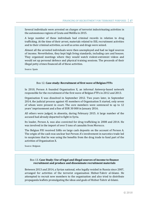Several individuals were arrested on charges of terrorist indoctrinating activities in the autonomous regions of Ceuta and Melilla in 2015.

A large number of these individuals had criminal records in relation to drug trafficking. At the time of their arrest, materials related to ISIL recruitment activities and to their criminal activities, as well as arms and drugs were seized.

Almost all the arrested individuals were then unemployed and had no legal sources of income. Nevertheless, they kept high living standards, including cars and houses. They organised meetings where they would watch violent-extremist videos and would set up personal defence and physical training sessions. The proceeds of their illegal petty crimes financed all of these activities.

Source: Spain

#### Box 12. **Case study: Recruitment of first wave of Belgian FTFs**

In 2010, Person A founded Organisation X, an informal Antwerp-based network responsible for the recruitment of the first wave of Belgian FTFs in 2012 and 2013.

Organisation X was dissolved in September 2012. Two years later, in September 2014, the judicial process against 45 members of Organisation X started, only seven of whom were present in court. The core members were sentenced to up to 12 years' imprisonment and a fine of EUR 30 000 in January 2016.

All others were judged, in absentia, during February 2015. A large number of the accused had already departed to fight in Syria.

Its leader, Person A, was also convicted for drug trafficking in 2008 and 2014. He was involved in the import of over 5 tons of cannabis from Morocco.

The Belgian FIU received SARs on large cash deposits on the account of Person A. The origin of the cash was unclear but Person A's involvement in narcotics trade led to suspicions that he was using the benefits from the drug trade to fund part of the activities of Organisation X.

Source: Belgium

#### Box 13. **Case Study: Use of legal and illegal sources of income to finance recruitment and produce and disseminate recruitment materials**

Between 2013 and 2014, a Syrian national, who legally resided in Russia since 2007, arranged for activities of the terrorist organisation Hizbut-Tahrir al-Islami. He attempted to recruit new members to the organisation and also tried to distribute propaganda leaflets promulgating the ideas and goals of Hizbut-Tahrir al-Islami.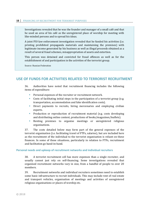Investigations revealed that he was the founder and manager of a small café and that he used an area of his café as the unregistered place of worship for meeting with like-minded persons and to spread his ideas.

A joint FIU-law enforcement investigation revealed that he funded his activities (i.e. printing prohibited propaganda materials and maintaining the premises) with legitimate income generated by his business as well as illegal proceeds obtained as a result of several fraud schemes, misappropriation of assets and extortion.

This person was detained and convicted for fraud offences as well as for the establishment of and participation in the activities of the terrorist group.

Source: Russian Federation

# **USE OF FUNDS FOR ACTIVITIES RELATED TO TERRORIST RECRUITMENT**

36. Authorities have noted that recruitment financing includes the following items of expenditure:

- **Personal expenses of the recruiter or recruitment network.**
- Costs of facilitating initial steps in the participation of a terrorist group (e.g. transportation, accommodation and fake identification costs).
- Direct payments to recruits, hiring mercenaries and employing civilian experts.
- **Production or reproduction of recruitment material (e.g. costs developing** and distributing online content, productions of books/magazines/leaflets).
- Renting premises to organise meetings or unregistered religious organisations.

37. The costs detailed below may form part of the general expenses of the terrorist organisation (i.e. facilitating travel of FTFs, salaries), but are included here as the recruitment of the individual to the terrorist organisation is reliant on these finances. In some of these situations, particularly in relation to FTFs, recruitment and facilitation go hand-in-hand.

#### **Personal needs and upkeep of recruitment networks and individual recruiters**

38. A terrorist recruitment cell has more expenses than a single recruiter, and usually cannot just rely on self-financing. Some investigations revealed that organised recruitment networks vary in size, from a handful of people to over 20 members.

39. Recruitment networks and individual recruiters sometimes need to establish some basic infrastructure to recruit individuals. This may include rent of real estate and transport vehicles, organisation of meetings and activities of unregistered religious organisations or places of worship etc.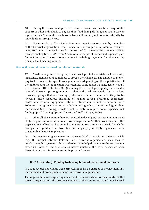40. During the recruitment process, recruiters, brokers or facilitators require the support of other individuals to pay for their food, living, clothing and health care or legal expenses. The funds usually come from self-funding and donations directly by individuals or through NPOs.

41. For example, see 'Case Study: Remunerations for recruits paid by a member of the terrorist organisation' from France for an example of a potential recruiter using NPO funds to meet his legal expenses and 'Case study: Recruitment of FTFs through an illegitimate NPO' from Spain for an example of the sorts of expenses paid for maintenance of a recruitment network including payments for phone cards, transport and meeting venues.

#### **Production and dissemination of recruitment materials**

42. Traditionally, terrorist groups have used printed materials such as books, magazines, manuals and pamphlets to spread their ideology. The amount of money required to create this type of propaganda varies depending on the sophistication of the material and the publication. For example, printing good-quality leaflets could cost between EUR 1 000 to 6 000 (including the costs of good quality paper and a printer). However, printing amateur leaflets and brochures would cost a lot less. However, groups that are posting professional online content are likely to be investing more resources including on digital editing programs, computers, professional camera equipment, internet infrastructures such as servers. Since 2000, terrorist groups have reportedly been using video game technology in their recruitment (and training) efforts which is likely to require some expertise and funding ('Jihad Growing Up' and 'Americans' Hell). (Vargas, 2006)

43. All in all, the amount of money invested in developing recruitment material is likely insignificant in relation to a terrorist organisation's other costs. However, the organisational effort that lies behind sophisticated recruitment materials (which for example are produced in five different languages) is likely significant, with considerable financial implications.

44. In response to government initiatives to block sites with terrorist materials (e.g. IRU-Europol Internet Referral Unit), terrorist organisations may seek to develop complex systems or hire professionals to help disseminate the recruitment materials. Some of the case studies below illustrate the costs associated with disseminating recruitment materials in print and online.

#### Box 14. **Case study: Funding to develop terrorist recruitment materials**

In 2014, several individuals were arrested in Spain on charges of involvement in a recruitment and propaganda scheme for a terrorist organisation.

The organisation was exploiting a fast-food restaurant chain to raise funds for the terrorist organisation. The proceeds obtained at the restaurants would later be used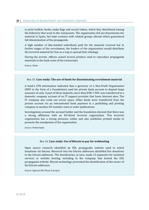to print leaflets, books, make flags and record videos, which they distributed among the followers that went to the restaurants. The organisation did not disseminate the material in Spain, but kept contacts with related groups abroad which guaranteed full dissemination of the propaganda.

A high number of like-minded individuals paid for the material received but in further stages of the recruitment, the leaders of the organisation would distribute the terrorist material for free as a way to spread their ideology.

During the arrests, officers seized several printers used to reproduce propaganda materials in the back room of the restaurants.

Source: Spain

#### Box 15. **Case study: The use of funds for disseminating recruitment material**

A bank's STR information indicated that a governor of a Non-Profit Organisation (NPO in the form of a Foundation) used his private bank account to deposit large amounts of cash. A part of these deposits, more than EUR 1 500, was transferred to a domestic company account of an IT support provider that hosts Internet sites. The IT company also rents out server space. Other funds were transferred from the private account via an international bank payment to a publishing and printing company in another EU member state to order publications.

Investigations around the account holder and the foundation showed that there was a strong affiliation with an EU-listed terrorist organisation. This terrorist organisation has a strong presence online and also publishes printed media to promote the standpoints of the organisation.

Source: Netherlands

#### Box 16. **Case study: Use of Bitcoin to pay for webhosting**

Open source research identified an ISIL propaganda website used to solicit donations via bitcoin. Research into the bitcoin addresses identified five donations to the bitcoin addresses. The beneficiaries, in turn, made 12 payments for technical services or website hosting, including to the company that hosted the ISIL propaganda website. Bitcoin technology prevented the identification of the owner of the bitcoin addresses.

Source: Egmont ISIL Phase II project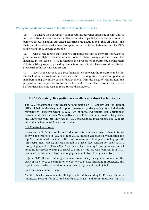#### **Paying for goods and services to facilitate FTFs and terrorist cells**

45. To ensure their survival, it is important for terrorist organisations not only to form recruitment networks and motivate recruits to participate, but also to remove barriers to participation. Advanced terrorist organisations (e.g. ISIL, Al-Qaida) and their recruitment networks therefore spend resources to facilitate new recruits, FTFs and terrorist cells around the globe.

46. One of the tactics that terrorist organisations use to convince followers to join the armed fight is the commitment to assist them throughout their travel. For instance, in the case of FTF, facilitating the process of recruitment, buying their tickets, a fake passport, providing contacts on transit, etc. These are all facilitation steps within the recruitment process.

47. Even in the absence of direct financial ties between the recruiters and FTFs, the facilitation networks of most advanced terrorist organisations may support new members along the entire path of displacement, from the stage of recruitment and preparation for departure, to arrival in the conflict zone. Therefore, in some cases self-funded FTFs shift costs to recruiters and facilitators.

#### Box 17. **Case study: Designations of recruiters who also act as facilitators**

The U.S. Department of the Treasury took action on 10 January 2017 to disrupt ISIL's global fundraising and support network by designating four individuals pursuant to Executive Order 13224. Two of these individuals, Neil Christopher Prakash and Bachrumsyah Mennor Usman are ISIL members based in Iraq, Syria, and Indonesia who are involved in ISIL's propaganda, recruitment, and support networks in South-east Asia and Australia.

#### Neil Christopher Prakash:

He served as ISIL's most senior Australian recruiter and encouraged others to travel to Syria and Iraq to join ISIL. As of June 2015, Prakash was publically identified as a top ISIL recruiter who facilitated the travel of new recruits, appeared in high-profile ISIL recruitment videos, and was named in a list of key contacts for aspiring ISIL foreign fighters. As of May 2015, Prakash was listed among 16 social media contact accounts for people wanting to travel to Syria or Iraq. He was featured in an ISILproduced recruitment video, encouraging viewers to travel to Syria and Iraq.

In June 2015, the Australian government domestically designated Prakash on the basis of his efforts to commission violent terrorist acts, including in Australia, and exploit social media to recruit others to travel to Syria and Iraq to join ISIL.

#### Bachrumsyah Mennor Usman:

An ISIL official who commands ISIL fighters, facilitates funding for ISIL operations in Indonesia, recruits for ISIL, and coordinates travel and communications for ISIL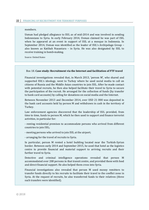#### members.

Usman had pledged allegiance to ISIL as of mid-2014 and was involved in sending Indonesians to Syria. In early February 2014, Usman claimed he was part of ISIL when he appeared at an event in support of ISIL at a mosque in Indonesia. In September 2014, Usman was identified as the leader of ISIL's Archipelago Group – also known as Katibah Nusantara – in Syria. He was also designated by ISIL to receive training in bomb-making.

Source: United States

#### Box 18. **Case study: Recruitment via the Internet and facilitation of FTF travel**

Financial investigations revealed that, in March 2013, 'person M', who shared and supported ISIL's ideology, went to Turkey where he used social media to call on citizens of Russia and the Middle Asian countries to join ISIL. After he made contact with potential recruits, he then also helped facilitate their travel to Syria to secure the participation of the recruit. He arranged for the collection of funds (by transfer to bank card accounts) by calling for donations on social media and the Internet.

Between November 2013 and December 2014, over USD 21 000 was deposited in the bank card accounts held by person M and withdrawn in cash in the territory of Turkey.

Law enforcement agencies discovered that the leadership of ISIL provided, from time to time, funds to person M, which he then used to support and finance terrorist activities, in particular for:

- renting residential premises to accommodate persons who arrived from different countries to join ISIL;

- meeting persons who arrived to join ISIL at the airport;

- arranging for the travel of recruits to Syria.

In particular, person M rented a hotel building located near the Turkish-Syrian border. Between early 2014 and September 2015, he used that hotel as the logistics centre to provide financial and material support to arriving recruits and their further travel to Syria.

Detective and criminal intelligence operations revealed that person M accommodated over 200 persons in that transit centre, and provided them with food and direct financial support. He also helped them cross into Syria.

Financial investigations also revealed that person M used money remitters to transfer funds directly to his recruits to facilitate their travel to the conflict zone in Syria. At the request of recruits, he also transferred funds to their relatives (three such transfers were identified).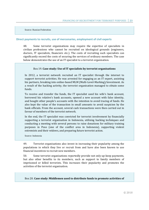Source: Russian Federation

#### **Direct payments to recruits, use of mercenaries, employment of civil experts**

48. Some terrorist organisations may require the expertise of specialists in civilian professions who cannot be recruited on ideological grounds (engineers, doctors, IT specialists, financiers etc.). The costs of recruiting such specialists can significantly exceed the costs of securing the services of ordinary members. The case below demonstrates the use of an IT specialist to a terrorist organisation.

#### Box 19. **Case study: Use of IT specialists by terrorist organisations**

In 2012, a terrorist network recruited an IT specialist through the internet to support terrorist activities. He was arrested for engaging as an IT expert, assisting his partners, breaking into online-based MLM (Multi-Level-Marking)/investment. As a result of the hacking activity, the terrorist organisation managed to obtain some funds.

To receive and transfer the funds, the IT specialist used his wife's bank account, borrowed his relative's bank accounts, opened a new account with false identity, and bought other people's accounts with the intention to avoid tracing of funds. He also kept the value of the transaction in small amounts to avoid suspicion by the bank officials. From the account, several cash transactions were then carried out in favour of members of the terrorist network.

In the end, the IT specialist was convicted for terrorist involvement by financially supporting a terrorist organisation in Indonesia, utilising hacking techniques and conducting a meeting with several persons to raise donations for military training purposes in Poso (one of the conflict area in Indonesia), supporting violent extremists and their widows, and preparing future terrorist action.

Source: Indonesia

49. Terrorist organisations also invest in increasing their popularity among the populations in which they live or recruit from and have also been known to use financial incentives to recruit new members.

50. Some terrorist organisations reportedly provide not only up-keep payments, but also other benefits to its members, such as support to family members of imprisoned or killed terrorists. This increases their popularity and promotes the activities of the terrorist organisation.

Box 20. **Case study: Middlemen used to distribute funds to promote activities of**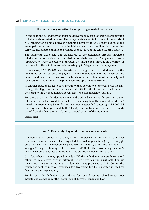#### **the terrorist organisation by supporting arrested terrorists**

In one case, the defendant was asked to deliver money from a terrorist organisation to individuals arrested in Israel. These payments amounted to tens of thousands of NIS (ranging for example between amounts equivalent to USD 1 000 to 20 000) and were paid as a reward to these individuals and their families for committing terrorist acts, and to continue to promote the activities of the terrorist organisation.

The payments were paid and transferred to the defendant through unrelated middlemen who received a commission for their service. The payments were forwarded on several occasions, through the middlemen, meeting in a variety of locations in different cities, sometimes using up to 3 legs to transfer a payment.

In one case, USD 13 000 was transferred through the local middlemen to the defendant for the purpose of payment to the individuals arrested in Israel. The Israeli middleman then transferred the funds to the defendant in a different city, and received NIS 1 500 commission (equivalent to approximately USD 400).

In another case, an Israeli citizen met up with a person who entered Israel illegally through the Egyptian border and collected USD 11 000, from him which he later delivered to the defendant in a different city, for a commission of USD 150.

For these activities, the defendant was indicted and convicted for several counts, inter alia, under the Prohibition on Terror Financing Law. He was sentenced to 27 months imprisonment; 8 months imprisonment suspended sentence; NIS 5 000 NIS fine (equivalent to approximately USD 1 250); and confiscation of some of the funds seized from the defendant in relation to several counts of the indictment.

Source: Israel

#### Box 21. **Case study: Payments to induce new recruits**

A defendant, an owner of a boat, asked the permission of one of the chief commanders of a domestically designated terrorist organisation ('B'), to smuggle goods by sea from a neighbouring country. 'B' in turn, asked the defendant to smuggle 25 bags containing explosive powder of TNT for the terrorist organisation's use. The defendant agreed and recruited two additional men for this activity.

On a few other occasions, upon demands of 'B', the defendant successfully recruited others to take active part in different terror activities and illicit acts. For his involvement in the recruitment, the defendant was promised USD 1 300 and the reimbursement of medical expenses for treatment for his daughter in medical facilities in a foreign country.

For his acts, the defendant was indicted for several counts related to terrorist activity and counts under the Prohibition of Terrorist Financing Law.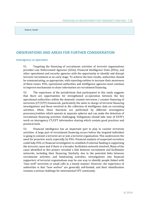Source: Israel

# **OBSERVATIONS AND AREAS FOR FURTHER CONSIDERATION**

#### **Interagency co-operation**

51. Targeting the financing of recruitment activities of terrorist organisations provides Law Enforcement Agencies (LEAs), Financial Intelligence Units (FIUs), and other operational and security agencies with the opportunity to identify and disrupt terrorist recruitment at an early stage. To achieve the best results, authorities should be communicating, as appropriate, with reporting entities to increase their awareness of these issues. FIUs, operational authorities and intelligence agencies must continue to improve mechanisms to share information on recruitment financing.

52. The experience of the jurisdictions that participated in this study suggests that there are opportunities for strengthened co-operation between the key operational authorities within the domestic counter-terrorism / counter-financing of terrorism (CT/CFT) framework, particularly the units in charge of terrorist financing investigations and those involved in the collection of intelligence data on recruiting activities. Often, these functions are performed by different investigative processes/entities which operate in separate spheres and can make the detection of recruitment financing activities challenging. Delegations should take note of FATF's work on interagency CT/CFT information sharing which contain good practices and practical tools.

53. Financial intelligence has an important part to play in counter terrorism activities. A large part of recruitment financing occurs before the targeted individual is going to commit a terrorist act or join a terrorist organisation. This underscores the need for proactive work, especially by FIUs. Financial analysis of suspected recruiters could help FIUs or financial investigators to establish if external funding is supporting the terrorist cause and if there is a broader facilitation network involved. Many of the cases identified in this project revealed a link between recruitment and facilitation networks, including their financing. Similarly, due to the potential links between recruitment activities and fundraising activities, investigations into financial supporters of terrorist organisations may be one way to identify people linked with "lone wolf" terrorists or small cells in a timely manner. However, the experience of authorities is that "lone wolves" are generally self-funded, and their identification remains a serious challenge for international CFT community.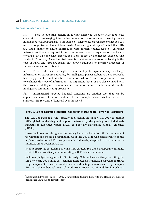#### **International co-operation**

54. There is potential benefit in further exploring whether FIUs face legal constraints in exchanging information in relation to recruitment financing on an intelligence level, particularly in the suspicion phase where a concrete connection to a terrorist organisation has not been made. A recent Egmont report <sup>4</sup> noted that FIUs are often unable to share information with foreign counterparts on extremist networks as they are required to focus on known terrorist organisations or lists of terrorists or on conclusive information from police or intelligence agencies that relates to TF activity. Clear links to known terrorist networks are often lacking in the case of FTFs, and FIUs are legally not always equipped to monitor processes of radicalisation and recruitment.

55. FIUs could also strengthen their ability to spontaneously exchange information on extremist networks, for intelligence purposes, before these networks have engaged in terrorist activities. In situations where FIUs are not permitted in law to exchange this type of information, it is important that FIUs are closely linked with the broader intelligence community so that information can be shared via the intelligence community as appropriate.

56. International targeted financial sanctions are another tool that can be applied when recruiters are identified. In the example below, this tool is used to starve an ISIL recruiter of funds all over the world.

#### Box 22. **Use of Targeted Financial Sanctions to Designate Terrorist Recruiters**

The U.S. Department of the Treasury took action on January 10, 2017 to disrupt ISIL's global fundraising and support network by designating four individuals pursuant to Executive Order 13224 as Specially Designated Global Terrorists (SDGTs).

Oman Rochman was designated for acting for or on behalf of ISIL in the areas of recruitment and media dissemination. As of late 2015, he was considered to be the *de facto* leader for all ISIL supporters in Indonesia, despite his incarceration in Indonesia since December 2010.

As of February 2016, Rochman, while incarcerated, recruited prospective militants to join ISIL and was likely communicating with ISIL leaders in Syria.

Rochman pledged allegiance to ISIL in early 2014 and was actively recruiting for ISIL as of early 2015. In 2015, Rochman instructed an Indonesian associate to travel to Syria to join ISIL. He also recruited an individual in prison to travel to Syria to join ISIL after the individual was released from prison. As of mid-2015, Rochman

<sup>4</sup> Egmont ISIL Project Phase II (2017), Information Sharing Report to the Heads of Financial Intelligence Units [Confidential report]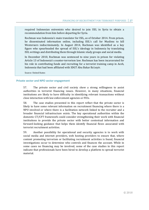required Indonesian extremists who desired to join ISIL in Syria to obtain a recommendation from him before departing for Syria.

Rochman was Indonesia's main translator for ISIL, as of October 2014. From prison, he disseminated information online, including ISIL's call for Muslims to kill Westerners indiscriminately. In August 2014, Rochman was identified as a key figure who spearheaded the spread of ISIL's ideology in Indonesia by translating ISIL writings and distributing them through Islamic study groups and social media.

In December 2010, Rochman was sentenced to nine years in prison for violating Article 13 of Indonesia's counter-terrorism law. Rochman has been incarcerated for his role in contributing funds and recruiting for a terrorist training camp in Aceh, Indonesia that had been affiliated with SDGT Abu Bakar Ba'asyir.

Source: United States

#### **Private sector and NPO sector engagement**

57. The private sector and civil society show a strong willingness to assist authorities in terrorist financing issues. However, in many situations, financial institutions are likely to have difficulty in identifying relevant transactions without close interaction with law enforcement agencies or FIUs.

58. The case studies presented in this report reflect that the private sector is likely to have some relevant information on recruitment financing where there is a NPO involved or where there is a facilitation network linked to the recruiter and a broader financial infrastructure exists. The key operational authorities within the domestic CT/CFT framework could consider strengthening their work with financial institutions to provide the private sector with better contextual information and forward-looking guidance that helps them identify financial flows associated with terrorist recruitment activities.

59. Another possibility for operational and security agencies is to work with social media and internet providers, web hosting providers to ensure that, where content promoting terrorism or facilitating recruitment activities is found, financial investigations occur to determine who controls and finances the account. While in some cases no financing may be involved, some of the case studies in this report indicate that professionals have been hired to develop a platform to spread terrorist material.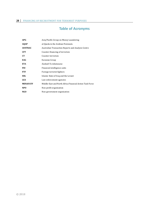# **Table of Acronyms**

| Asia/Pacific Group on Money Laundering                   |
|----------------------------------------------------------|
| al-Qaeda in the Arabian Peninsula                        |
| Australian Transaction Reports and Analysis Centre       |
| Counter-financing of terrorism                           |
| Counter-terrorism                                        |
| Eurasian Group                                           |
| Euskadi Ta Askatasuna                                    |
| Financial intelligence units                             |
| Foreign terrorist fighters                               |
| Islamic State of Iraq and the Levant                     |
| Law enforcement agencies                                 |
| Middle-East and North Africa Financial Action Task Force |
| Non-profit organisation                                  |
| Non-government organisation                              |
|                                                          |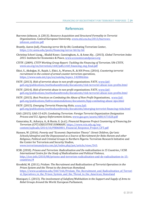# **References**

- Burrows-Johnson, A. (2013). *Resource Acquisition and Structural Formality in Terrorist Organizations*. Central European University, www.etd.ceu.hu/2013/burrowsjohnson andrew.pdf
- Brantly, Aaron (nd), *Financing terror Bit by Bit*, Combating Terrorism Center, https://ctc.usma.edu/posts/financing-terror-bit-by-bit
- Christina Schori Liang, , Khalid Koser, Cunningham, A., & Anne Aly, . (2015). *Global Terrorism Index 2015*. Institute for Economics & Peace, www.economicsandpeace.org
- CTITF. (2009). *CTITF Working Group Report: Tackling the Financing of Terrorism*. UN-CTITF, www.un.org/en/terrorism/ctitf/pdfs/ctitf\_financing\_eng\_final.pdf
- Ekici, S., Akdoğan, H., Rajab, I., Ekici, A., Warnes, R., & IOS Press. (2016). *Countering terrorist recruitment in the context of armed counter-terrorism operations*, https://www.nato.int/cps/en/natohq/topics\_142006.htm
- FATF. (2013). *Risk of terrorist abuse in non-profit organisations*. FATF, www.fatfgafi.org/publications/methodsandtrends/documents/risk-terrorist-abuse-non-profits.html
- FATF. (2014). *Risk of terrorist abuse in non-profit organisations*. FATF, www.fatfgafi.org/publications/methodsandtrends/documents/risk-terrorist-abuse-non-profits.html
- FATF. (2015). *Best Practices on Combating the Abuse of Non-Profit Organisations*, www.fatfgafi.org/publications/fatfrecommendations/documents/bpp-combating-abuse-npo.html
- FATF. (2015). *Emerging Terrorist Financing Risks*, www.fatfgafi.org/publications/methodsandtrends/documents/emerging-terrorist-financing-risks.html
- GAO. (2015). GAO-15-629, *Combating Terrorism: Foreign Terrorist Organization Designation Process and U.S. Agency Enforcement Actions*, www.gao.gov/assets/680/671028.pdf
- Gunaratna, R., Acharya, A., & Husin, G. (n.d.). *Financial Response Project Countering of Financing for Terrorism (CFT) EXECUTIVE SUMMARY*, https://www.rsis.edu.sg/wpcontent/uploads/2014/10/PB060801\_Financial\_Response\_Project\_CFT.pdf
- Hansen, W. (2016). *Poverty and "Economic Deprivation Theory": Street Children, Qur'anic Schools/almajirai and the Dispossessed as a Source of Recruitment for Boko Haram and other Religious, Political and Criminal Groups in Northern Nigeria.* Terrorism Research Initiative and the Center for Terrorism and Security Studies, www.terrorismanalysts.com/pt/index.php/pot/article/view/543.
- ICSR. (2010). *Prisons and Terrorism: Radicalisation and De-radicalisation in 15 Countries / ICSR. International Centre for the Study of Radicalisation and Political Violence*, http://icsr.info/2010/08/prisons-and-terrorism-radicalisation-and-de-radicalisation-in-15 countries/#
- Kronfeld, M. (2011). *Prislam: The Recruitment and Radicalization of Terrorist Operatives in the Prison System and the Threat to the American Homeland,* https://www.academia.edu/5467166/Prislam\_The\_Recruitment\_and\_Radicalization\_of\_Terrori st Operatives in the Prison System and the Threat to the American Homeland
- Moniquet, C. (2013). *The involvement of Salafism/Wahhabism in the Support and Supply of Arms to Rebel Groups Around the World*. European Parliament,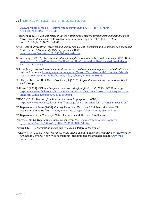#### **30 │** FINANCING OF RECRUITMENT FOR TERRORIST PURPOSES

www.europarl.europa.eu/RegData/etudes/etudes/join/2013/457137/EXPO-AFET\_ET(2013)457137\_EN.pdf

- Mugarura, N. (2013). *An appraisal of United Nations and other money laundering and financing of terrorism counter*‐*measures.* Journal of Money Laundering Control, 16(3), 249-265. doi:10.1108/JMLC-04-2013-0007
- OSCE. (2014). *Preventing Terrorism and Countering Violent Extremism and Radicalization that Lead to Terrorism: A Community-Policing Approach*. OSCE, www.osce.org/secretariat/111438?download=true
- Schori-Lang, C. (2016). *The Criminal-Jihadist: Insights into Modern Terrorist Financing GCSP*. GCSP, www.gcsp.ch/News-Knowledge/Publications/The-Criminal-Jihadist-Insights-into-Modern-Terrorist-Financing
- Silke, A. (n.d.). *Prisons, terrorism and extremism : critical issues in management, radicalisation and reform*. Routledge, https://www.routledge.com/Prisons-Terrorism-and-Extremism-Critical-Issues-in-Management-Radicalisation/Silke/p/book/9780415810388
- Stroligo, K., Intscher, H., & Davis-Crockwell, S. (2013). *Suspending suspicious transactions*. World Bank Group
- Sullivan, J. (2015). *ETA and Basque nationalism : the fight for Euskadi, 1890-1986*. Routledge, https://www.routledge.com/ETA-and-Basque-Nationalism-RLE-Terrorism--Insurgency-The-Fight-for/Sullivan/p/book/9781138900301
- UNODC. (2012). *The use of the Internet for terrorist purposes*. UNODC, https://www.unodc.org/documents/frontpage/Use\_of\_Internet\_for\_Terrorist\_Purposes.pdf
- US Department of State. (2014). *Country Reports on Terrorism 2014 Africa Overview*. US Department of State, from https://www.state.gov/j/ct/rls/crt/2014/239404.htm
- US Department of the Treasury (2014), Terrorism and Financial Intelligence
- Vargas, J. (2006). *Way Radical, Dude*. Washington Post, www.washingtonpost.com/wpdyn/content/article/2006/10/08/AR2006100800931.html
- Vittori, J. (2016). *Terrorist financing and resourcing.* Palgrave Macmillan
- Weisser, N.-F. (2013). *The Effectiveness of the Global Combat against the Financing of Terrorism for Preventing Terrorist Activity*. Zeitschrift für Internationale Strafrechtsdogmatik, www.zisonline.com